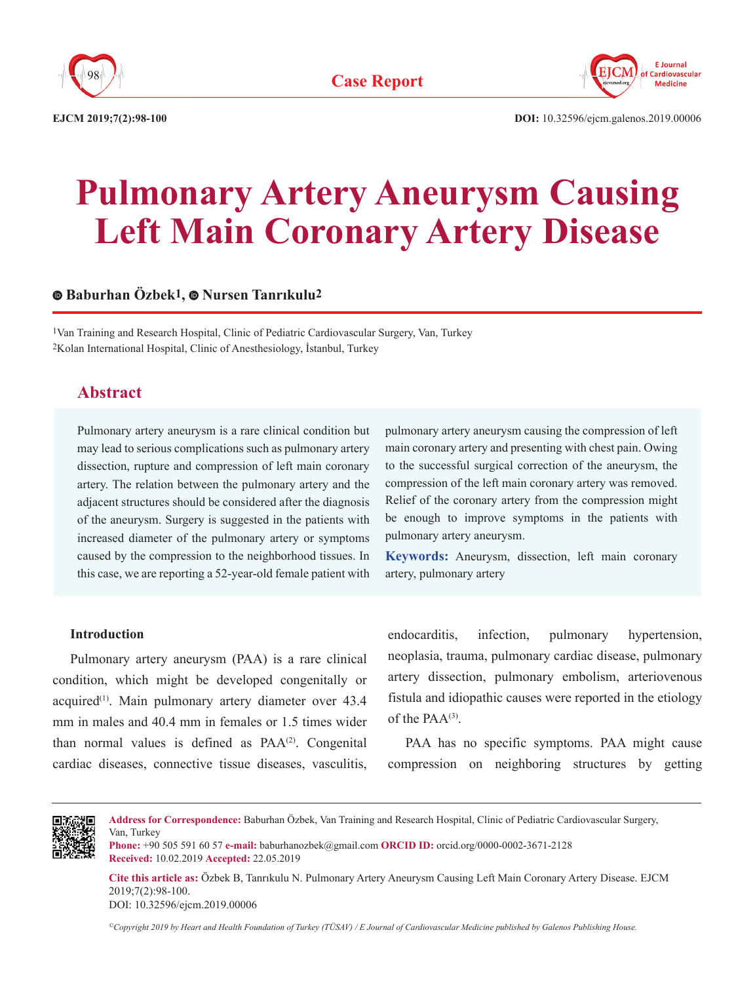



**EJCM 2019;7(2):98-100 DOI:** 10.32596/ejcm.galenos.2019.00006

# **Pulmonary Artery Aneurysm Causing Left Main Coronary Artery Disease**

# **Baburhan Özbek1,Nursen Tanrıkulu2**

1Van Training and Research Hospital, Clinic of Pediatric Cardiovascular Surgery, Van, Turkey 2Kolan International Hospital, Clinic of Anesthesiology, İstanbul, Turkey

# **Abstract**

Pulmonary artery aneurysm is a rare clinical condition but may lead to serious complications such as pulmonary artery dissection, rupture and compression of left main coronary artery. The relation between the pulmonary artery and the adjacent structures should be considered after the diagnosis of the aneurysm. Surgery is suggested in the patients with increased diameter of the pulmonary artery or symptoms caused by the compression to the neighborhood tissues. In this case, we are reporting a 52-year-old female patient with pulmonary artery aneurysm causing the compression of left main coronary artery and presenting with chest pain. Owing to the successful surgical correction of the aneurysm, the compression of the left main coronary artery was removed. Relief of the coronary artery from the compression might be enough to improve symptoms in the patients with pulmonary artery aneurysm.

**Keywords:** Aneurysm, dissection, left main coronary artery, pulmonary artery

#### **Introduction**

Pulmonary artery aneurysm (PAA) is a rare clinical condition, which might be developed congenitally or acquired<sup>(1)</sup>. Main pulmonary artery diameter over 43.4 mm in males and 40.4 mm in females or 1.5 times wider than normal values is defined as  $PAA^{(2)}$ . Congenital cardiac diseases, connective tissue diseases, vasculitis,

endocarditis, infection, pulmonary hypertension, neoplasia, trauma, pulmonary cardiac disease, pulmonary artery dissection, pulmonary embolism, arteriovenous fistula and idiopathic causes were reported in the etiology of the PAA<sup>(3)</sup>.

PAA has no specific symptoms. PAA might cause compression on neighboring structures by getting



**Address for Correspondence:** Baburhan Özbek, Van Training and Research Hospital, Clinic of Pediatric Cardiovascular Surgery, Van, Turkey

**Phone:** +90 505 591 60 57 **e-mail:** baburhanozbek@gmail.com **ORCID ID:** orcid.org/0000-0002-3671-2128 **Received:** 10.02.2019 **Accepted:** 22.05.2019

**Cite this article as:** Özbek B, Tanrıkulu N. Pulmonary Artery Aneurysm Causing Left Main Coronary Artery Disease. EJCM 2019;7(2):98-100.

DOI: 10.32596/ejcm.2019.00006

*©Copyright 2019 by Heart and Health Foundation of Turkey (TÜSAV) / E Journal of Cardiovascular Medicine published by Galenos Publishing House.*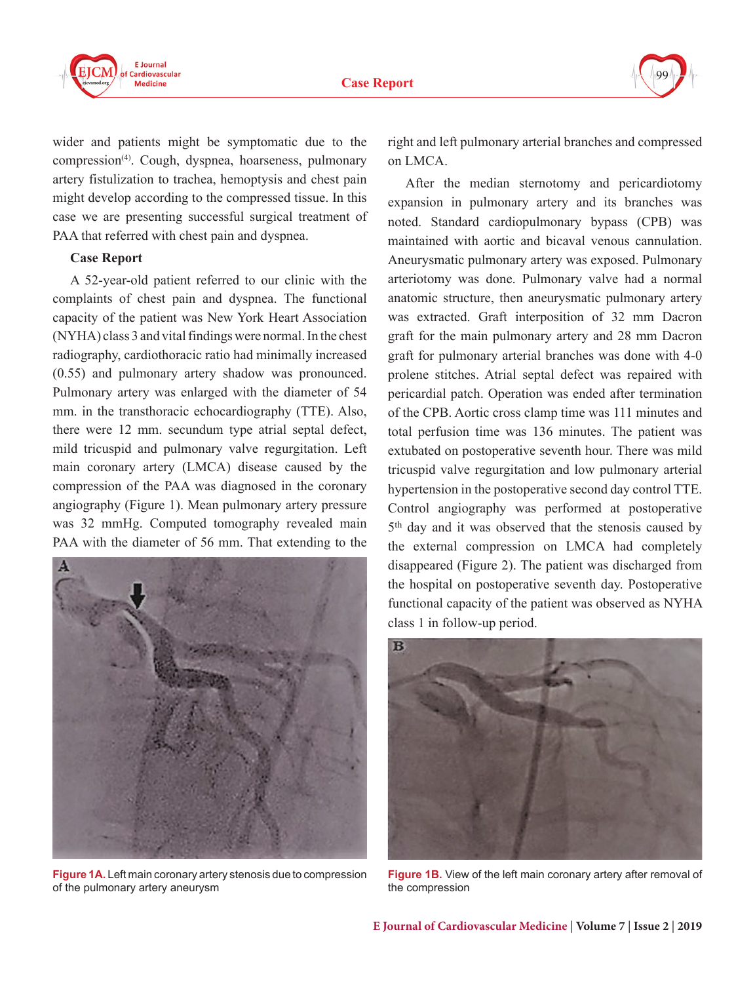

wider and patients might be symptomatic due to the compression<sup>(4)</sup>. Cough, dyspnea, hoarseness, pulmonary artery fistulization to trachea, hemoptysis and chest pain might develop according to the compressed tissue. In this case we are presenting successful surgical treatment of PAA that referred with chest pain and dyspnea.

#### **Case Report**

A 52-year-old patient referred to our clinic with the complaints of chest pain and dyspnea. The functional capacity of the patient was New York Heart Association (NYHA) class 3 and vital findings were normal. In the chest radiography, cardiothoracic ratio had minimally increased (0.55) and pulmonary artery shadow was pronounced. Pulmonary artery was enlarged with the diameter of 54 mm. in the transthoracic echocardiography (TTE). Also, there were 12 mm. secundum type atrial septal defect, mild tricuspid and pulmonary valve regurgitation. Left main coronary artery (LMCA) disease caused by the compression of the PAA was diagnosed in the coronary angiography (Figure 1). Mean pulmonary artery pressure was 32 mmHg. Computed tomography revealed main PAA with the diameter of 56 mm. That extending to the



**Figure 1A.** Left main coronary artery stenosis due to compression of the pulmonary artery aneurysm

right and left pulmonary arterial branches and compressed on LMCA.

After the median sternotomy and pericardiotomy expansion in pulmonary artery and its branches was noted. Standard cardiopulmonary bypass (CPB) was maintained with aortic and bicaval venous cannulation. Aneurysmatic pulmonary artery was exposed. Pulmonary arteriotomy was done. Pulmonary valve had a normal anatomic structure, then aneurysmatic pulmonary artery was extracted. Graft interposition of 32 mm Dacron graft for the main pulmonary artery and 28 mm Dacron graft for pulmonary arterial branches was done with 4-0 prolene stitches. Atrial septal defect was repaired with pericardial patch. Operation was ended after termination of the CPB. Aortic cross clamp time was 111 minutes and total perfusion time was 136 minutes. The patient was extubated on postoperative seventh hour. There was mild tricuspid valve regurgitation and low pulmonary arterial hypertension in the postoperative second day control TTE. Control angiography was performed at postoperative 5<sup>th</sup> day and it was observed that the stenosis caused by the external compression on LMCA had completely disappeared (Figure 2). The patient was discharged from the hospital on postoperative seventh day. Postoperative functional capacity of the patient was observed as NYHA class 1 in follow-up period.



**Figure 1B.** View of the left main coronary artery after removal of the compression